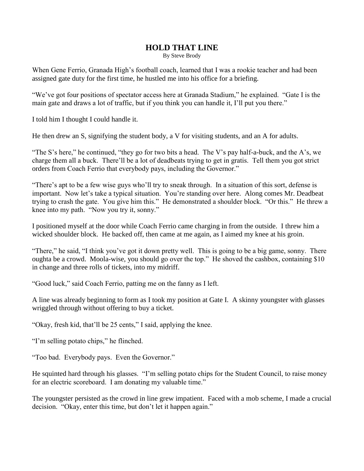## **HOLD THAT LINE**

By Steve Brody

When Gene Ferrio, Granada High's football coach, learned that I was a rookie teacher and had been assigned gate duty for the first time, he hustled me into his office for a briefing.

"We've got four positions of spectator access here at Granada Stadium," he explained. "Gate I is the main gate and draws a lot of traffic, but if you think you can handle it, I'll put you there."

I told him I thought I could handle it.

He then drew an S, signifying the student body, a V for visiting students, and an A for adults.

"The S's here," he continued, "they go for two bits a head. The V's pay half-a-buck, and the A's, we charge them all a buck. There'll be a lot of deadbeats trying to get in gratis. Tell them you got strict orders from Coach Ferrio that everybody pays, including the Governor."

"There's apt to be a few wise guys who'll try to sneak through. In a situation of this sort, defense is important. Now let's take a typical situation. You're standing over here. Along comes Mr. Deadbeat trying to crash the gate. You give him this." He demonstrated a shoulder block. "Or this." He threw a knee into my path. "Now you try it, sonny."

I positioned myself at the door while Coach Ferrio came charging in from the outside. I threw him a wicked shoulder block. He backed off, then came at me again, as I aimed my knee at his groin.

"There," he said, "I think you've got it down pretty well. This is going to be a big game, sonny. There oughta be a crowd. Moola-wise, you should go over the top." He shoved the cashbox, containing \$10 in change and three rolls of tickets, into my midriff.

"Good luck," said Coach Ferrio, patting me on the fanny as I left.

A line was already beginning to form as I took my position at Gate I. A skinny youngster with glasses wriggled through without offering to buy a ticket.

"Okay, fresh kid, that'll be 25 cents," I said, applying the knee.

"I'm selling potato chips," he flinched.

"Too bad. Everybody pays. Even the Governor."

He squinted hard through his glasses. "I'm selling potato chips for the Student Council, to raise money for an electric scoreboard. I am donating my valuable time."

The youngster persisted as the crowd in line grew impatient. Faced with a mob scheme, I made a crucial decision. "Okay, enter this time, but don't let it happen again."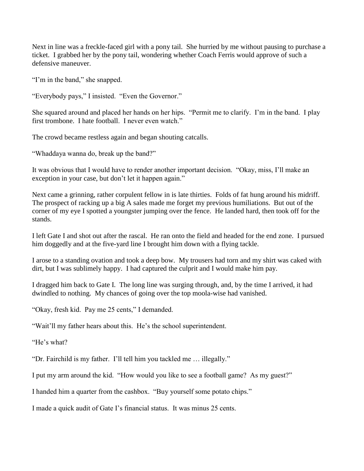Next in line was a freckle-faced girl with a pony tail. She hurried by me without pausing to purchase a ticket. I grabbed her by the pony tail, wondering whether Coach Ferris would approve of such a defensive maneuver.

"I'm in the band," she snapped.

"Everybody pays," I insisted. "Even the Governor."

She squared around and placed her hands on her hips. "Permit me to clarify. I'm in the band. I play first trombone. I hate football. I never even watch."

The crowd became restless again and began shouting catcalls.

"Whaddaya wanna do, break up the band?"

It was obvious that I would have to render another important decision. "Okay, miss, I'll make an exception in your case, but don't let it happen again."

Next came a grinning, rather corpulent fellow in is late thirties. Folds of fat hung around his midriff. The prospect of racking up a big A sales made me forget my previous humiliations. But out of the corner of my eye I spotted a youngster jumping over the fence. He landed hard, then took off for the stands.

I left Gate I and shot out after the rascal. He ran onto the field and headed for the end zone. I pursued him doggedly and at the five-yard line I brought him down with a flying tackle.

I arose to a standing ovation and took a deep bow. My trousers had torn and my shirt was caked with dirt, but I was sublimely happy. I had captured the culprit and I would make him pay.

I dragged him back to Gate I. The long line was surging through, and, by the time I arrived, it had dwindled to nothing. My chances of going over the top moola-wise had vanished.

"Okay, fresh kid. Pay me 25 cents," I demanded.

"Wait'll my father hears about this. He's the school superintendent.

"He's what?

"Dr. Fairchild is my father. I'll tell him you tackled me … illegally."

I put my arm around the kid. "How would you like to see a football game? As my guest?"

I handed him a quarter from the cashbox. "Buy yourself some potato chips."

I made a quick audit of Gate I's financial status. It was minus 25 cents.